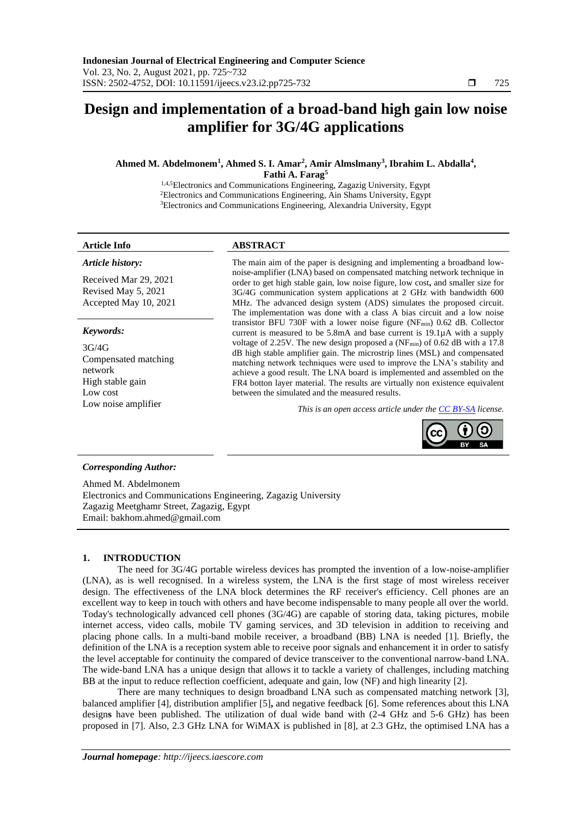## **Design and implementation of a broad-band high gain low noise amplifier for 3G/4G applications**

### **Ahmed M. Abdelmonem<sup>1</sup> , Ahmed S. I. Amar<sup>2</sup> , Amir Almslmany<sup>3</sup> , Ibrahim L. Abdalla<sup>4</sup> , Fathi A. Farag<sup>5</sup>**

1,4,5Electronics and Communications Engineering, Zagazig University, Egypt <sup>2</sup>Electronics and Communications Engineering, Ain Shams University, Egypt <sup>3</sup>Electronics and Communications Engineering, Alexandria University, Egypt

#### **Article Info ABSTRACT**

*Article history:*

Received Mar 29, 2021 Revised May 5, 2021 Accepted May 10, 2021

#### *Keywords:*

3G/4G Compensated matching network High stable gain Low cost

The main aim of the paper is designing and implementing a broadband lownoise-amplifier (LNA) based on compensated matching network technique in order to get high stable gain, low noise figure, low cost**,** and smaller size for 3G/4G communication system applications at 2 GHz with bandwidth 600 MHz. The advanced design system (ADS) simulates the proposed circuit. The implementation was done with a class A bias circuit and a low noise transistor BFU 730F with a lower noise figure (NFmin) 0.62 dB. Collector current is measured to be 5.8mA and base current is 19.1µA with a supply voltage of 2.25V. The new design proposed a (NF<sub>min</sub>) of 0.62 dB with a 17.8 dB high stable amplifier gain. The microstrip lines (MSL) and compensated matching network techniques were used to improve the LNA's stability and achieve a good result. The LNA board is implemented and assembled on the FR4 botton layer material. The results are virtually non existence equivalent between the simulated and the measured results.

Low noise amplifier<br>*This is an open access article under the* [CC BY-SA](https://creativecommons.org/licenses/by-sa/4.0/) *license*.



#### *Corresponding Author:*

Ahmed M. Abdelmonem Electronics and Communications Engineering, Zagazig University Zagazig Meetghamr Street, Zagazig, Egypt Email: bakhom.ahmed@gmail.com

#### **1. INTRODUCTION**

The need for 3G/4G portable wireless devices has prompted the invention of a low-noise-amplifier (LNA), as is well recognised. In a wireless system, the LNA is the first stage of most wireless receiver design. The effectiveness of the LNA block determines the RF receiver's efficiency. Cell phones are an excellent way to keep in touch with others and have become indispensable to many people all over the world. Today's technologically advanced cell phones (3G/4G) are capable of storing data, taking pictures, mobile internet access, video calls, mobile TV gaming services, and 3D television in addition to receiving and placing phone calls. In a multi-band mobile receiver, a broadband (BB) LNA is needed [1]. Briefly, the definition of the LNA is a reception system able to receive poor signals and enhancement it in order to satisfy the level acceptable for continuity the compared of device transceiver to the conventional narrow-band LNA. The wide-band LNA has a unique design that allows it to tackle a variety of challenges, including matching BB at the input to reduce reflection coefficient, adequate and gain, low (NF) and high linearity [2].

There are many techniques to design broadband LNA such as compensated matching network [3], balanced amplifier [4], distribution amplifier [5]**,** and negative feedback [6]. Some references about this LNA design**s** have been published. The utilization of dual wide band with (2-4 GHz and 5-6 GHz) has been proposed in [7]. Also, 2.3 GHz LNA for WiMAX is published in [8], at 2.3 GHz, the optimised LNA has a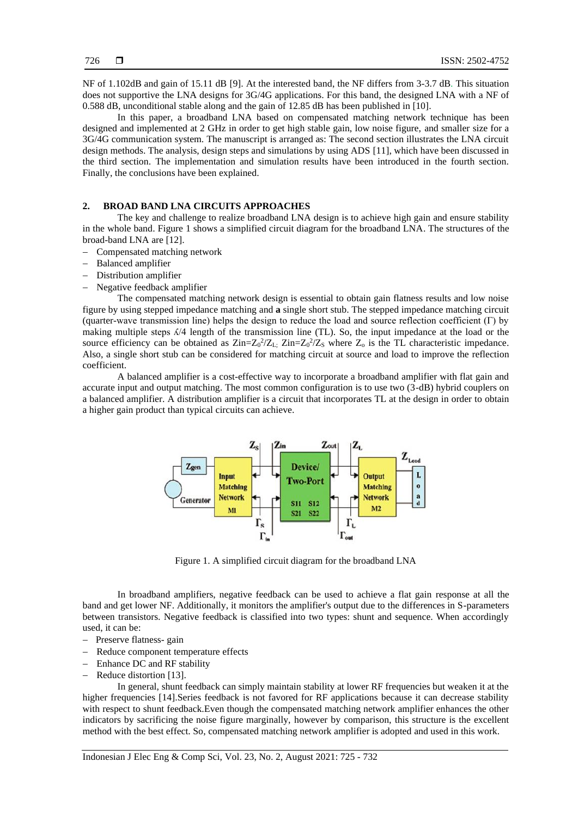NF of 1.102dB and gain of 15.11 dB [9]. At the interested band, the NF differs from 3-3.7 dB. This situation does not supportive the LNA designs for 3G/4G applications. For this band, the designed LNA with a NF of 0.588 dB, unconditional stable along and the gain of 12.85 dB has been published in [10].

In this paper, a broadband LNA based on compensated matching network technique has been designed and implemented at 2 GHz in order to get high stable gain, low noise figure, and smaller size for a 3G/4G communication system. The manuscript is arranged as: The second section illustrates the LNA circuit design methods. The analysis, design steps and simulations by using ADS [11], which have been discussed in the third section. The implementation and simulation results have been introduced in the fourth section. Finally, the conclusions have been explained.

#### **2. BROAD BAND LNA CIRCUITS APPROACHES**

The key and challenge to realize broadband LNA design is to achieve high gain and ensure stability in the whole band. Figure 1 shows a simplified circuit diagram for the broadband LNA. The structures of the broad-band LNA are [12].

- − Compensated matching network
- − Balanced amplifier
- Distribution amplifier
- Negative feedback amplifier

The compensated matching network design is essential to obtain gain flatness results and low noise figure by using stepped impedance matching and **a** single short stub. The stepped impedance matching circuit (quarter-wave transmission line) helps the design to reduce the load and source reflection coefficient (Γ) by making multiple steps  $\frac{\Lambda}{4}$  length of the transmission line (TL). So, the input impedance at the load or the source efficiency can be obtained as  $\text{Zin} = Z_0^2/Z_L$ ;  $\text{Zin} = Z_0^2/Z_S$  where  $Z_0$  is the TL characteristic impedance. Also, a single short stub can be considered for matching circuit at source and load to improve the reflection coefficient.

A balanced amplifier is a cost-effective way to incorporate a broadband amplifier with flat gain and accurate input and output matching. The most common configuration is to use two (3-dB) hybrid couplers on a balanced amplifier. A distribution amplifier is a circuit that incorporates TL at the design in order to obtain a higher gain product than typical circuits can achieve.



Figure 1. A simplified circuit diagram for the broadband LNA

In broadband amplifiers, negative feedback can be used to achieve a flat gain response at all the band and get lower NF. Additionally, it monitors the amplifier's output due to the differences in S-parameters between transistors. Negative feedback is classified into two types: shunt and sequence. When accordingly used, it can be:

- − Preserve flatness- gain
- − Reduce component temperature effects
- Enhance DC and RF stability
- Reduce distortion [13].

In general, shunt feedback can simply maintain stability at lower RF frequencies but weaken it at the higher frequencies [14].Series feedback is not favored for RF applications because it can decrease stability with respect to shunt feedback.Even though the compensated matching network amplifier enhances the other indicators by sacrificing the noise figure marginally, however by comparison, this structure is the excellent method with the best effect. So, compensated matching network amplifier is adopted and used in this work.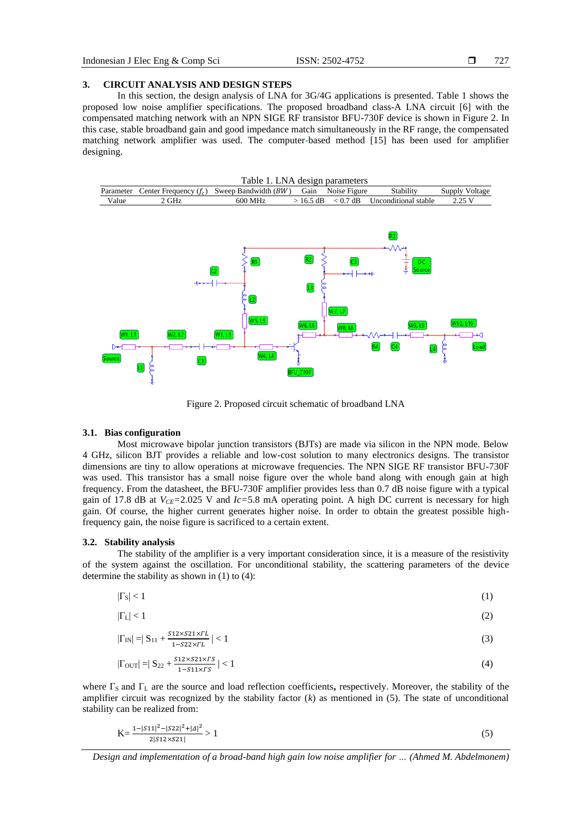#### **3. CIRCUIT ANALYSIS AND DESIGN STEPS**

In this section, the design analysis of LNA for 3G/4G applications is presented. Table 1 shows the proposed low noise amplifier specifications. The proposed broadband class-A LNA circuit [6] with the compensated matching network with an NPN SIGE RF transistor BFU-730F device is shown in Figure 2. In this case, stable broadband gain and good impedance match simultaneously in the RF range, the compensated matching network amplifier was used. The computer**-**based method [15] has been used for amplifier designing.





Figure 2. Proposed circuit schematic of broadband LNA

#### **3.1. Bias configuration**

Most microwave bipolar junction transistors (BJTs) are made via silicon in the NPN mode. Below 4 GHz, silicon BJT provides a reliable and low-cost solution to many electronics designs. The transistor dimensions are tiny to allow operations at microwave frequencies. The NPN SIGE RF transistor BFU-730F was used. This transistor has a small noise figure over the whole band along with enough gain at high frequency. From the datasheet, the BFU-730F amplifier provides less than 0.7 dB noise figure with a typical gain of 17.8 dB at  $V_{CE}$ =2.025 V and  $Ic$ =5.8 mA operating point. A high DC current is necessary for high gain. Of course, the higher current generates higher noise. In order to obtain the greatest possible highfrequency gain, the noise figure is sacrificed to a certain extent.

#### **3.2. Stability analysis**

The stability of the amplifier is a very important consideration since, it is a measure of the resistivity of the system against the oscillation. For unconditional stability, the scattering parameters of the device determine the stability as shown in (1) to (4):

$$
|\Gamma_{\rm S}| < 1 \tag{1}
$$

$$
|\Gamma_L| < 1\tag{2}
$$

$$
|\Gamma_{\text{IN}}| = |S_{11} + \frac{s_{12} \times s_{21} \times r_L}{1 - s_{22} \times r_L}| < 1\tag{3}
$$

$$
|\Gamma_{\text{OUT}}| = |\mathbf{S}_{22} + \frac{s_{12} \times s_{21} \times r_{S}}{1 - s_{11} \times r_{S}}| < 1\tag{4}
$$

where Γ<sub>S</sub> and Γ<sub>L</sub> are the source and load reflection coefficients, respectively. Moreover, the stability of the amplifier circuit was recognized by the stability factor (*k*) as mentioned in (5). The state of unconditional stability can be realized from:

$$
K = \frac{1 - |S11|^2 - |S22|^2 + |A|^2}{2|S12 \times S21|} > 1
$$
\n<sup>(5)</sup>

*Design and implementation of a broad-band high gain low noise amplifier for … (Ahmed M. Abdelmonem)*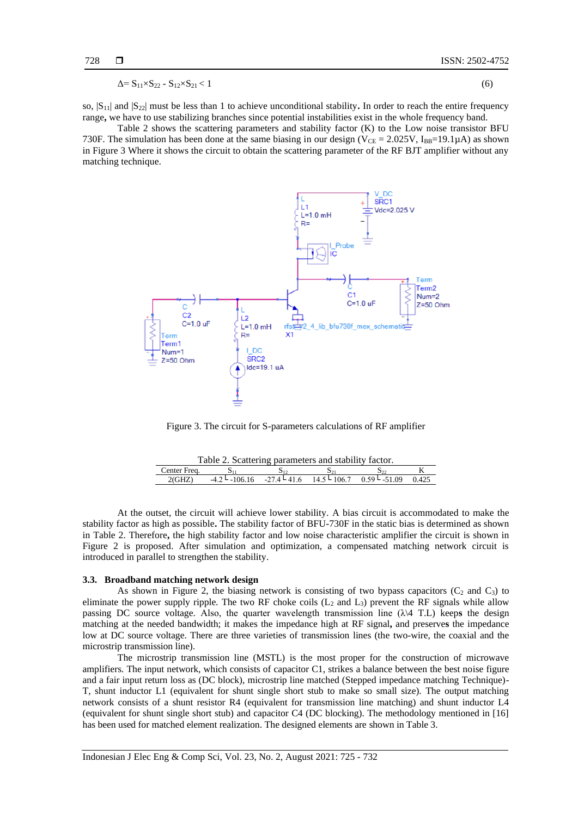$$
\Delta = S_{11} \times S_{22} - S_{12} \times S_{21} < 1 \tag{6}
$$

so,  $|S_{11}|$  and  $|S_{22}|$  must be less than 1 to achieve unconditional stability. In order to reach the entire frequency range**,** we have to use stabilizing branches since potential instabilities exist in the whole frequency band.

Table 2 shows the scattering parameters and stability factor (K) to the Low noise transistor BFU 730F. The simulation has been done at the same biasing in our design ( $V_{CE} = 2.025V$ ,  $I_{BB} = 19.1 \mu A$ ) as shown in Figure 3 Where it shows the circuit to obtain the scattering parameter of the RF BJT amplifier without any matching technique.



Figure 3. The circuit for S-parameters calculations of RF amplifier

| Table 2. Scattering parameters and stability factor. |                 |  |  |                                                            |  |  |
|------------------------------------------------------|-----------------|--|--|------------------------------------------------------------|--|--|
| Center Freq.                                         |                 |  |  |                                                            |  |  |
| 2(GHZ)                                               | $-4.2 - 106.16$ |  |  | $-27.4 \le 41.6$ $14.5 \le 106.7$ $0.59 \le 51.09$ $0.425$ |  |  |

At the outset, the circuit will achieve lower stability. A bias circuit is accommodated to make the stability factor as high as possible**.** The stability factor of BFU-730F in the static bias is determined as shown in Table 2. Therefore**,** the high stability factor and low noise characteristic amplifier the circuit is shown in Figure 2 is proposed. After simulation and optimization, a compensated matching network circuit is introduced in parallel to strengthen the stability.

#### **3.3. Broadband matching network design**

As shown in Figure 2, the biasing network is consisting of two bypass capacitors ( $C_2$  and  $C_3$ ) to eliminate the power supply ripple. The two RF choke coils  $(L_2 \text{ and } L_3)$  prevent the RF signals while allow passing DC source voltage. Also, the quarter wavelength transmission line (λ\4 T.L) keep**s** the design matching at the needed bandwidth; it makes the impedance high at RF signal**,** and preserve**s** the impedance low at DC source voltage. There are three varieties of transmission lines (the two-wire, the coaxial and the microstrip transmission line).

The microstrip transmission line (MSTL) is the most proper for the construction of microwave amplifiers. The input network, which consists of capacitor C1, strikes a balance between the best noise figure and a fair input return loss as (DC block), microstrip line matched (Stepped impedance matching Technique)- T, shunt inductor L1 (equivalent for shunt single short stub to make so small size). The output matching network consists of a shunt resistor R4 (equivalent for transmission line matching) and shunt inductor L4 (equivalent for shunt single short stub) and capacitor C4 (DC blocking). The methodology mentioned in [16] has been used for matched element realization. The designed elements are shown in Table 3.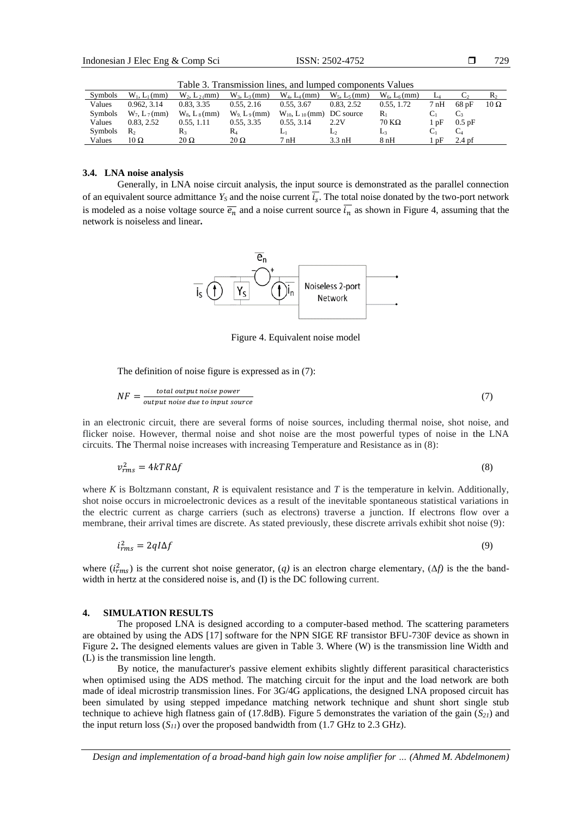| Table 3. Transmission lines, and lumped components Values |                    |                    |                    |                                    |                    |                        |                  |                   |             |
|-----------------------------------------------------------|--------------------|--------------------|--------------------|------------------------------------|--------------------|------------------------|------------------|-------------------|-------------|
| Symbols                                                   | $W_1, L_1$ (mm)    | $W_2$ , $L_2$ (mm) | $W_3$ , $L_3$ (mm) | $W_4$ , $L_4$ (mm)                 | $W_5$ , $L_5$ (mm) | $W_6$ , $L_6$ (mm)     | La               |                   | $R_2$       |
| Values                                                    | 0.962, 3.14        | 0.83, 3.35         | 0.55, 2.16         | 0.55, 3.67                         | 0.83, 2.52         | 0.55, 1.72             | $7\,\mathrm{nH}$ | 68pF              | $10 \Omega$ |
| Symbols                                                   | $W_7$ , $L_7$ (mm) | $W_8$ , $L_8$ (mm) | $W_9 L_9$ (mm)     | $W_{10}$ , $L_{10}$ (mm) DC source |                    | R.                     | Cı               | $C_{3}$           |             |
| Values                                                    | 0.83, 2.52         | 0.55, 1.11         | 0.55, 3.35         | 0.55, 3.14                         | 2.2V               | $70\,\mathrm{K}\Omega$ | l pF             | $0.5$ pF          |             |
| Symbols                                                   | R <sub>2</sub>     | R,                 | $R_4$              |                                    | ⊷                  | Lз                     | Ċ1               | $C_4$             |             |
| Values                                                    | 10 Ω               | $20 \Omega$        | $20 \Omega$        | 7nH                                | $3.3 \text{ nH}$   | 8 nH                   | pF               | 2.4 <sub>pf</sub> |             |

Table 3. Transmission lines, and lumped components Values

#### **3.4. LNA noise analysis**

Generally, in LNA noise circuit analysis, the input source is demonstrated as the parallel connection of an equivalent source admittance  $Y_s$  and the noise current  $i_s$ . The total noise donated by the two-port network is modeled as a noise voltage source  $\overline{e_n}$  and a noise current source  $\overline{t_n}$  as shown in Figure 4, assuming that the network is noiseless and linear**.**



Figure 4. Equivalent noise model

The definition of noise figure is expressed as in (7):

$$
NF = \frac{total\ output\ noise\ power}{output\ noise\ due\ to\ input\ source} \tag{7}
$$

in an electronic circuit, there are several forms of noise sources, including thermal noise, shot noise, and flicker noise. However, thermal noise and shot noise are the most powerful types of noise in the LNA circuits. The Thermal noise increases with increasing Temperature and Resistance as in (8):

$$
v_{rms}^2 = 4kTR\Delta f \tag{8}
$$

where *K* is Boltzmann constant, *R* is equivalent resistance and *T* is the temperature in kelvin. Additionally, shot noise occurs in microelectronic devices as a result of the inevitable spontaneous statistical variations in the electric current as charge carriers (such as electrons) traverse a junction. If electrons flow over a membrane, their arrival times are discrete. As stated previously, these discrete arrivals exhibit shot noise (9):

$$
i_{rms}^2 = 2qI\Delta f \tag{9}
$$

where  $(i<sub>rms</sub><sup>2</sup>)$  is the current shot noise generator, (q) is an electron charge elementary, ( $\Delta f$ ) is the the bandwidth i[n hertz](https://en.wikipedia.org/wiki/Hertz) at the considered noise is, and (I) is the DC following current.

#### **4. SIMULATION RESULTS**

The proposed LNA is designed according to a computer-based method. The scattering parameters are obtained by using the ADS [17] software for the NPN SIGE RF transistor BFU-730F device as shown in Figure 2**.** The designed elements values are given in Table 3. Where (W) is the transmission line Width and (L) is the transmission line length.

By notice, the manufacturer's passive element exhibits slightly different parasitical characteristics when optimised using the ADS method. The matching circuit for the input and the load network are both made of ideal microstrip transmission lines. For 3G/4G applications, the designed LNA proposed circuit has been simulated by using stepped impedance matching network technique and shunt short single stub technique to achieve high flatness gain of (17.8dB). Figure 5 demonstrates the variation of the gain (*S21*) and the input return loss  $(S_{II})$  over the proposed bandwidth from  $(1.7 \text{ GHz to } 2.3 \text{ GHz})$ .

*Design and implementation of a broad-band high gain low noise amplifier for … (Ahmed M. Abdelmonem)*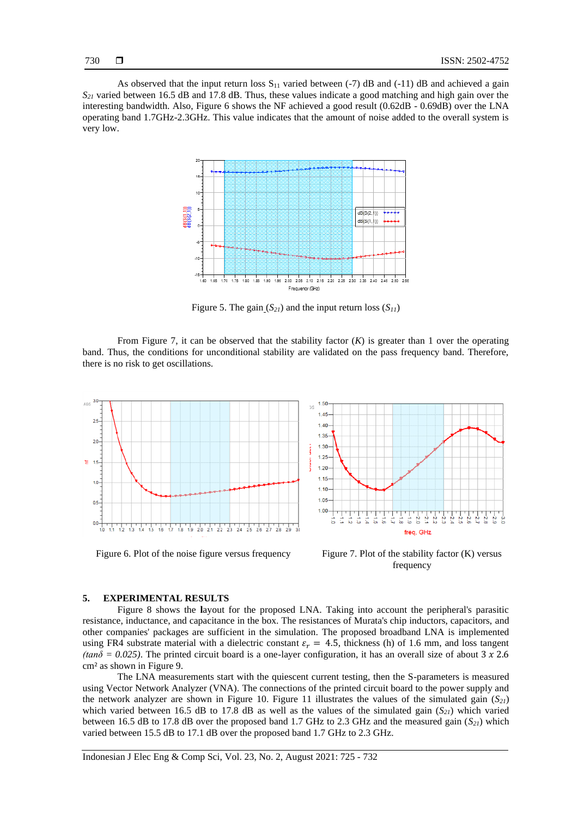As observed that the input return loss  $S_{11}$  varied between (-7) dB and (-11) dB and achieved a gain *S<sup>21</sup>* varied between 16.5 dB and 17.8 dB. Thus, these values indicate a good matching and high gain over the interesting bandwidth. Also, Figure 6 shows the NF achieved a good result (0.62dB - 0.69dB) over the LNA operating band 1.7GHz-2.3GHz. This value indicates that the amount of noise added to the overall system is very low.



Figure 5. The gain  $(S_{21})$  and the input return loss  $(S_{11})$ 

From Figure 7, it can be observed that the stability factor  $(K)$  is greater than 1 over the operating band. Thus, the conditions for unconditional stability are validated on the pass frequency band. Therefore, there is no risk to get oscillations.



Figure 6. Plot of the noise figure versus frequency Figure 7. Plot of the stability factor (K) versus frequency

#### **5. EXPERIMENTAL RESULTS**

Figure 8 shows the **l**ayout for the proposed LNA. Taking into account the peripheral's parasitic resistance, inductance, and capacitance in the box. The resistances of Murata's chip inductors, capacitors, and other companies' packages are sufficient in the simulation. The proposed broadband LNA is implemented using FR4 substrate material with a dielectric constant  $\varepsilon_r = 4.5$ , thickness (h) of 1.6 mm, and loss tangent *(tan* $\delta$  *= 0.025)*. The printed circuit board is a one-layer configuration, it has an overall size of about 3  $\chi$  2.6 cm² as shown in Figure 9.

The LNA measurements start with the quiescent current testing, then the S-parameters is measured using Vector Network Analyzer (VNA). The connections of the printed circuit board to the power supply and the network analyzer are shown in Figure 10. Figure 11 illustrates the values of the simulated gain (*S21*) which varied between 16.5 dB to 17.8 dB as well as the values of the simulated gain  $(S_{2l})$  which varied between 16.5 dB to 17.8 dB over the proposed band 1.7 GHz to 2.3 GHz and the measured gain (*S21*) which varied between 15.5 dB to 17.1 dB over the proposed band 1.7 GHz to 2.3 GHz.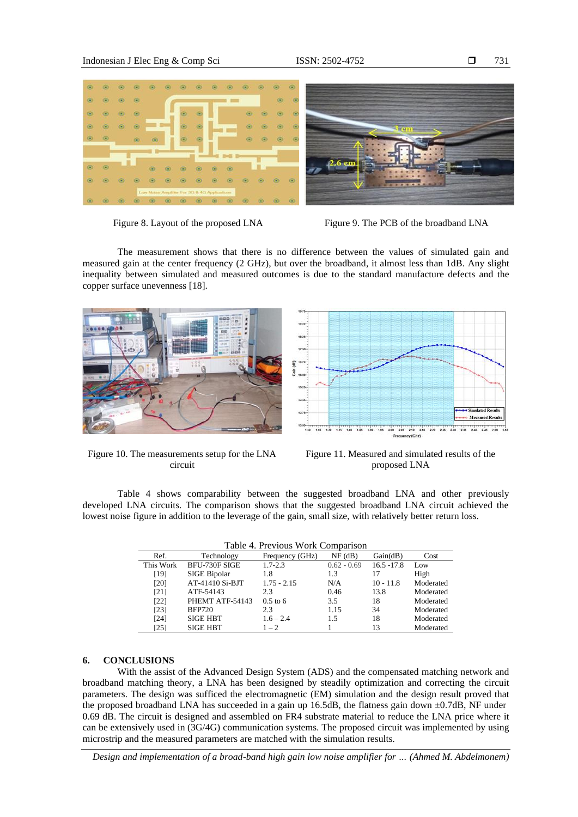

Figure 8. Layout of the proposed LNA Figure 9. The PCB of the broadband LNA

731

The measurement shows that there is no difference between the values of simulated gain and measured gain at the center frequency (2 GHz), but over the broadband, it almost less than 1dB. Any slight inequality between simulated and measured outcomes is due to the standard manufacture defects and the copper surface unevenness [18].



Measured Re  $236$  2.40 2.45 2.50 2.05 2.10 2.15 2.20  $+75$  $145$  $2.26$ cy (GHz

Figure 10. The measurements setup for the LNA circuit

Figure 11. Measured and simulated results of the proposed LNA

Table 4 shows comparability between the suggested broadband LNA and other previously developed LNA circuits. The comparison shows that the suggested broadband LNA circuit achieved the lowest noise figure in addition to the leverage of the gain, small size, with relatively better return loss.

| Table 4. Previous Work Comparison |                      |                 |               |               |           |  |  |
|-----------------------------------|----------------------|-----------------|---------------|---------------|-----------|--|--|
| Ref.                              | Technology           | Frequency (GHz) | $NF$ (dB)     | Gain(dB)      | Cost      |  |  |
| This Work                         | <b>BFU-730F SIGE</b> | $1.7 - 2.3$     | $0.62 - 0.69$ | $16.5 - 17.8$ | Low       |  |  |
| [19]                              | <b>SIGE Bipolar</b>  | 1.8             | 1.3           | 17            | High      |  |  |
| [20]                              | AT-41410 Si-BJT      | $1.75 - 2.15$   | N/A           | $10 - 11.8$   | Moderated |  |  |
| [21]                              | ATF-54143            | 2.3             | 0.46          | 13.8          | Moderated |  |  |
| [22]                              | PHEMT ATF-54143      | $0.5$ to 6      | 3.5           | 18            | Moderated |  |  |
| [23]                              | <b>BFP720</b>        | 2.3             | 1.15          | 34            | Moderated |  |  |
| [24]                              | <b>SIGE HBT</b>      | $1.6 - 2.4$     | 1.5           | 18            | Moderated |  |  |
| [25]                              | <b>SIGE HBT</b>      | $1 - 2$         |               | 13            | Moderated |  |  |

#### **6. CONCLUSIONS**

With the assist of the Advanced Design System (ADS) and the compensated matching network and broadband matching theory, a LNA has been designed by steadily optimization and correcting the circuit parameters. The design was sufficed the electromagnetic (EM) simulation and the design result proved that the proposed broadband LNA has succeeded in a gain up 16.5dB, the flatness gain down ±0.7dB, NF under 0.69 dB. The circuit is designed and assembled on FR4 substrate material to reduce the LNA price where it can be extensively used in (3G/4G) communication systems. The proposed circuit was implemented by using microstrip and the measured parameters are matched with the simulation results.

*Design and implementation of a broad-band high gain low noise amplifier for … (Ahmed M. Abdelmonem)*